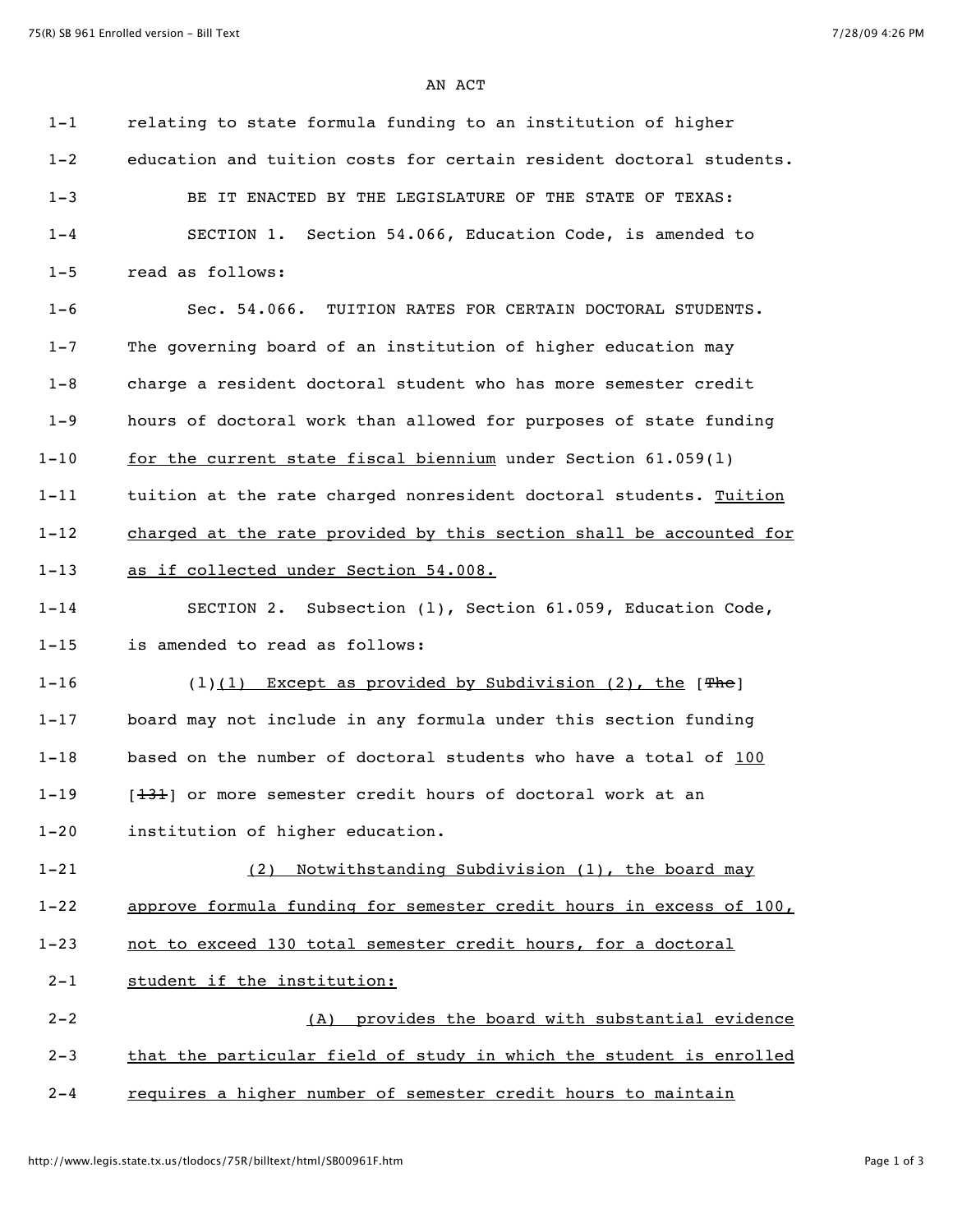AN ACT

| $1 - 1$  | relating to state formula funding to an institution of higher        |
|----------|----------------------------------------------------------------------|
| $1 - 2$  | education and tuition costs for certain resident doctoral students.  |
| $1 - 3$  | BE IT ENACTED BY THE LEGISLATURE OF THE STATE OF TEXAS:              |
| $1 - 4$  | SECTION 1. Section 54.066, Education Code, is amended to             |
| $1 - 5$  | read as follows:                                                     |
| $1 - 6$  | Sec. 54.066. TUITION RATES FOR CERTAIN DOCTORAL STUDENTS.            |
| $1 - 7$  | The governing board of an institution of higher education may        |
| $1 - 8$  | charge a resident doctoral student who has more semester credit      |
| $1 - 9$  | hours of doctoral work than allowed for purposes of state funding    |
| $1 - 10$ | for the current state fiscal biennium under Section 61.059(1)        |
| $1 - 11$ | tuition at the rate charged nonresident doctoral students. Tuition   |
| $1 - 12$ | charged at the rate provided by this section shall be accounted for  |
| $1 - 13$ | as if collected under Section 54.008.                                |
| $1 - 14$ | SECTION 2. Subsection (1), Section 61.059, Education Code,           |
| $1 - 15$ | is amended to read as follows:                                       |
| $1 - 16$ | $(1)(1)$ Except as provided by Subdivision (2), the [ $\text{The}$ ] |
| $1 - 17$ | board may not include in any formula under this section funding      |
| $1 - 18$ | based on the number of doctoral students who have a total of 100     |
| $1 - 19$ | [131] or more semester credit hours of doctoral work at an           |
| $1 - 20$ | institution of higher education.                                     |
| $1 - 21$ | Notwithstanding Subdivision (1), the board may<br>(2)                |
| $1 - 22$ | approve formula funding for semester credit hours in excess of 100,  |
| $1 - 23$ | not to exceed 130 total semester credit hours, for a doctoral        |
| $2 - 1$  | student if the institution:                                          |
| $2 - 2$  | provides the board with substantial evidence<br>(A)                  |
| $2 - 3$  | that the particular field of study in which the student is enrolled  |
| $2 - 4$  | requires a higher number of semester credit hours to maintain        |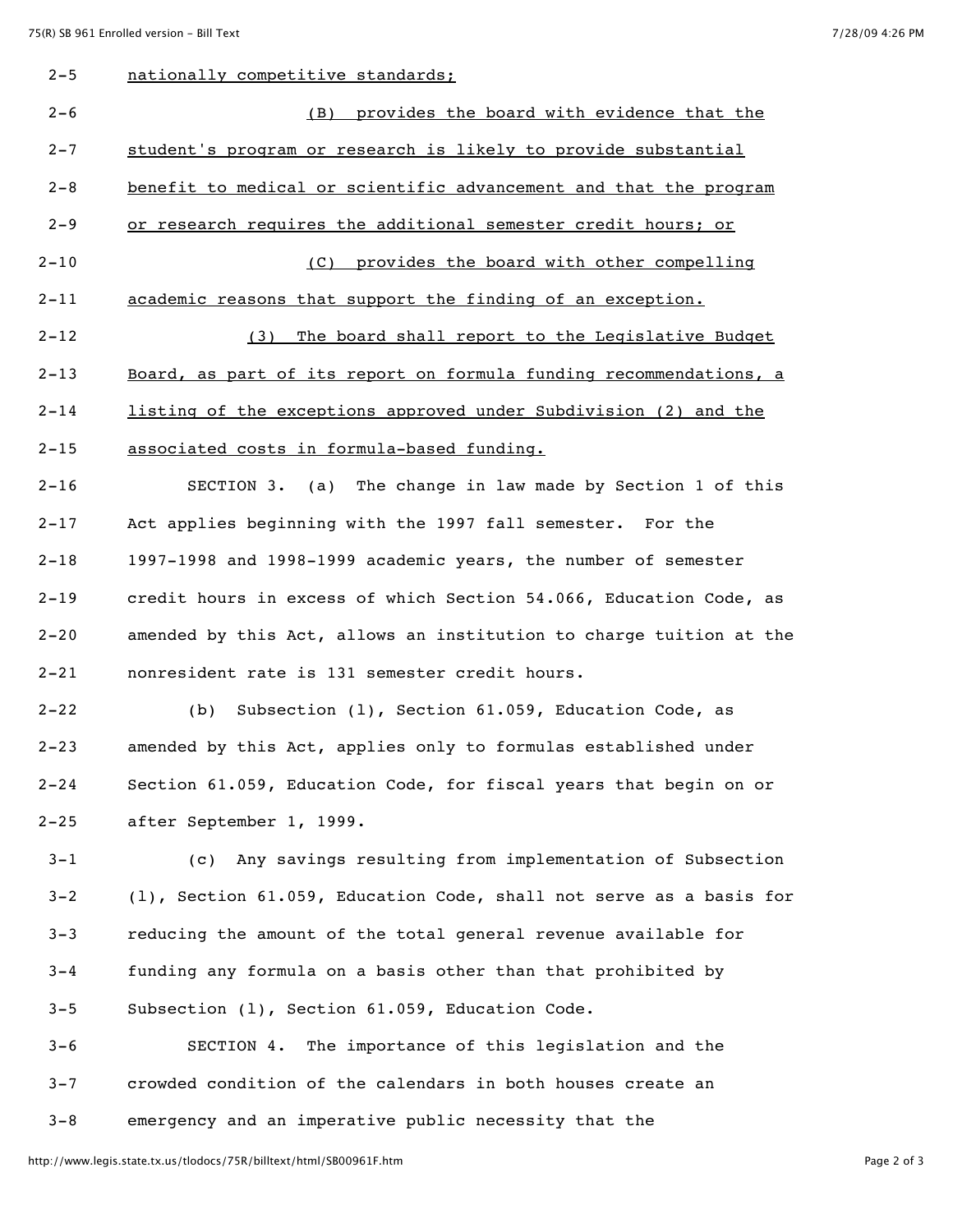| $2 - 5$  | nationally competitive standards:                                   |
|----------|---------------------------------------------------------------------|
| $2 - 6$  | (B) provides the board with evidence that the                       |
| $2 - 7$  | student's program or research is likely to provide substantial      |
| $2 - 8$  | benefit to medical or scientific advancement and that the program   |
| $2 - 9$  | or research requires the additional semester credit hours; or       |
| $2 - 10$ | (C) provides the board with other compelling                        |
| $2 - 11$ | academic reasons that support the finding of an exception.          |
| 2-12     | The board shall report to the Legislative Budget<br>(3)             |
| 2-13     | Board, as part of its report on formula funding recommendations, a  |
| $2 - 14$ | listing of the exceptions approved under Subdivision (2) and the    |
| $2 - 15$ | associated costs in formula-based funding.                          |
| $2 - 16$ | (a) The change in law made by Section 1 of this<br>SECTION 3.       |
| 2-17     | Act applies beginning with the 1997 fall semester. For the          |
| $2 - 18$ | 1997-1998 and 1998-1999 academic years, the number of semester      |
| $2 - 19$ | credit hours in excess of which Section 54.066, Education Code, as  |
| $2 - 20$ | amended by this Act, allows an institution to charge tuition at the |
| $2 - 21$ | nonresident rate is 131 semester credit hours.                      |
| $2 - 22$ | Subsection (1), Section 61.059, Education Code, as<br>(b)           |
| $2 - 23$ | amended by this Act, applies only to formulas established under     |
| $2 - 24$ | Section 61.059, Education Code, for fiscal years that begin on or   |
| $2 - 25$ | after September 1, 1999.                                            |
| $3 - 1$  | Any savings resulting from implementation of Subsection<br>(C)      |
| $3 - 2$  | (1), Section 61.059, Education Code, shall not serve as a basis for |
| $3 - 3$  | reducing the amount of the total general revenue available for      |

 3-4 funding any formula on a basis other than that prohibited by 3-5 Subsection (l), Section 61.059, Education Code.

 3-6 SECTION 4. The importance of this legislation and the 3-7 crowded condition of the calendars in both houses create an 3-8 emergency and an imperative public necessity that the